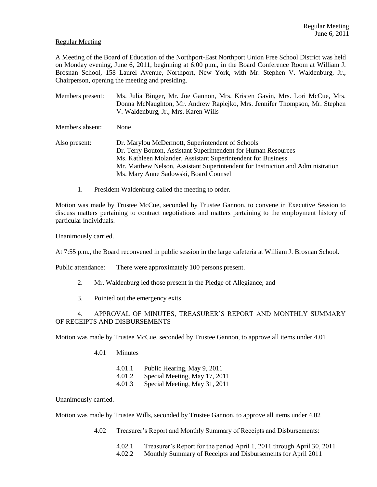## Regular Meeting

A Meeting of the Board of Education of the Northport-East Northport Union Free School District was held on Monday evening, June 6, 2011, beginning at 6:00 p.m., in the Board Conference Room at William J. Brosnan School, 158 Laurel Avenue, Northport, New York, with Mr. Stephen V. Waldenburg, Jr., Chairperson, opening the meeting and presiding.

- Members present: Ms. Julia Binger, Mr. Joe Gannon, Mrs. Kristen Gavin, Mrs. Lori McCue, Mrs. Donna McNaughton, Mr. Andrew Rapiejko, Mrs. Jennifer Thompson, Mr. Stephen V. Waldenburg, Jr., Mrs. Karen Wills
- Members absent: None
- Also present: Dr. Marylou McDermott, Superintendent of Schools Dr. Terry Bouton, Assistant Superintendent for Human Resources Ms. Kathleen Molander, Assistant Superintendent for Business Mr. Matthew Nelson, Assistant Superintendent for Instruction and Administration Ms. Mary Anne Sadowski, Board Counsel
	- 1. President Waldenburg called the meeting to order.

Motion was made by Trustee McCue, seconded by Trustee Gannon, to convene in Executive Session to discuss matters pertaining to contract negotiations and matters pertaining to the employment history of particular individuals.

Unanimously carried.

At 7:55 p.m., the Board reconvened in public session in the large cafeteria at William J. Brosnan School.

Public attendance: There were approximately 100 persons present.

- 2. Mr. Waldenburg led those present in the Pledge of Allegiance; and
- 3. Pointed out the emergency exits.

# 4. APPROVAL OF MINUTES, TREASURER'S REPORT AND MONTHLY SUMMARY OF RECEIPTS AND DISBURSEMENTS

Motion was made by Trustee McCue, seconded by Trustee Gannon, to approve all items under 4.01

- 4.01 Minutes
	- 4.01.1 Public Hearing, May 9, 2011 4.01.2 Special Meeting, May 17, 2011
	- 4.01.3 Special Meeting, May 31, 2011

Unanimously carried.

Motion was made by Trustee Wills, seconded by Trustee Gannon, to approve all items under 4.02

- 4.02 Treasurer's Report and Monthly Summary of Receipts and Disbursements:
	- 4.02.1 Treasurer's Report for the period April 1, 2011 through April 30, 2011
	- 4.02.2 Monthly Summary of Receipts and Disbursements for April 2011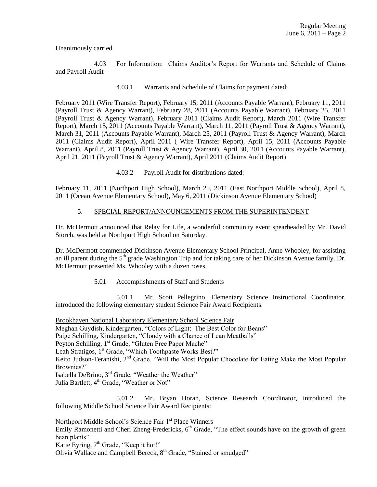Unanimously carried.

4.03 For Information: Claims Auditor's Report for Warrants and Schedule of Claims and Payroll Audit

4.03.1 Warrants and Schedule of Claims for payment dated:

February 2011 (Wire Transfer Report), February 15, 2011 (Accounts Payable Warrant), February 11, 2011 (Payroll Trust & Agency Warrant), February 28, 2011 (Accounts Payable Warrant), February 25, 2011 (Payroll Trust & Agency Warrant), February 2011 (Claims Audit Report), March 2011 (Wire Transfer Report), March 15, 2011 (Accounts Payable Warrant), March 11, 2011 (Payroll Trust & Agency Warrant), March 31, 2011 (Accounts Payable Warrant), March 25, 2011 (Payroll Trust & Agency Warrant), March 2011 (Claims Audit Report), April 2011 ( Wire Transfer Report), April 15, 2011 (Accounts Payable Warrant), April 8, 2011 (Payroll Trust & Agency Warrant), April 30, 2011 (Accounts Payable Warrant), April 21, 2011 (Payroll Trust & Agency Warrant), April 2011 (Claims Audit Report)

4.03.2 Payroll Audit for distributions dated:

February 11, 2011 (Northport High School), March 25, 2011 (East Northport Middle School), April 8, 2011 (Ocean Avenue Elementary School), May 6, 2011 (Dickinson Avenue Elementary School)

# 5. SPECIAL REPORT/ANNOUNCEMENTS FROM THE SUPERINTENDENT

Dr. McDermott announced that Relay for Life, a wonderful community event spearheaded by Mr. David Storch, was held at Northport High School on Saturday.

Dr. McDermott commended Dickinson Avenue Elementary School Principal, Anne Whooley, for assisting an ill parent during the 5<sup>th</sup> grade Washington Trip and for taking care of her Dickinson Avenue family. Dr. McDermott presented Ms. Whooley with a dozen roses.

5.01 Accomplishments of Staff and Students

5.01.1 Mr. Scott Pellegrino, Elementary Science Instructional Coordinator, introduced the following elementary student Science Fair Award Recipients:

Brookhaven National Laboratory Elementary School Science Fair Meghan Guydish, Kindergarten, "Colors of Light: The Best Color for Beans" Paige Schilling, Kindergarten, "Cloudy with a Chance of Lean Meatballs" Peyton Schilling, 1<sup>st</sup> Grade, "Gluten Free Paper Mache" Leah Stratigos, 1<sup>st</sup> Grade, "Which Toothpaste Works Best?" Keito Judson-Teranishi, 2<sup>nd</sup> Grade, "Will the Most Popular Chocolate for Eating Make the Most Popular Brownies?" Isabella DeBrino,  $3<sup>rd</sup>$  Grade, "Weather the Weather" Julia Bartlett, 4<sup>th</sup> Grade, "Weather or Not"

5.01.2 Mr. Bryan Horan, Science Research Coordinator, introduced the following Middle School Science Fair Award Recipients:

Northport Middle School's Science Fair 1<sup>st</sup> Place Winners Emily Ramonetti and Cheri Zheng-Fredericks,  $6<sup>th</sup>$  Grade, "The effect sounds have on the growth of green bean plants" Katie Eyring, 7<sup>th</sup> Grade, "Keep it hot!" Olivia Wallace and Campbell Bereck, 8<sup>th</sup> Grade, "Stained or smudged"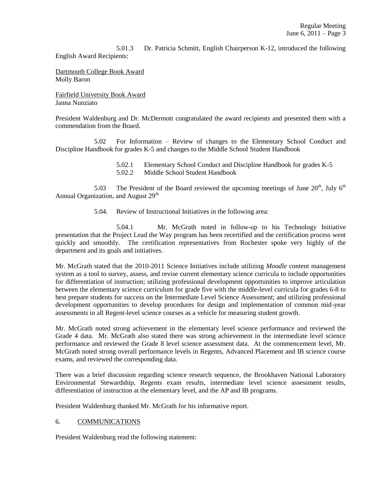5.01.3 Dr. Patricia Schmitt, English Chairperson K-12, introduced the following English Award Recipients:

Dartmouth College Book Award Molly Baron

Fairfield University Book Award Janna Nunziato

President Waldenburg and Dr. McDermott congratulated the award recipients and presented them with a commendation from the Board.

5.02 For Information – Review of changes to the Elementary School Conduct and Discipline Handbook for grades K-5 and changes to the Middle School Student Handbook

> 5.02.1 Elementary School Conduct and Discipline Handbook for grades K-5 5.02.2 Middle School Student Handbook

5.03 The President of the Board reviewed the upcoming meetings of June  $20^{th}$ , July  $6^{th}$ Annual Organization, and August  $29<sup>th</sup>$ 

5.04. Review of Instructional Initiatives in the following area:

5.04.1 Mr. McGrath noted in follow-up to his Technology Initiative presentation that the Project Lead the Way program has been recertified and the certification process went quickly and smoothly. The certification representatives from Rochester spoke very highly of the department and its goals and initiatives.

Mr. McGrath stated that the 2010-2011 Science Initiatives include utilizing *Moodle* content management system as a tool to survey, assess, and revise current elementary science curricula to include opportunities for differentiation of instruction; utilizing professional development opportunities to improve articulation between the elementary science curriculum for grade five with the middle-level curricula for grades 6-8 to best prepare students for success on the Intermediate Level Science Assessment; and utilizing professional development opportunities to develop procedures for design and implementation of common mid-year assessments in all Regent-level science courses as a vehicle for measuring student growth.

Mr. McGrath noted strong achievement in the elementary level science performance and reviewed the Grade 4 data. Mr. McGrath also stated there was strong achievement in the intermediate level science performance and reviewed the Grade 8 level science assessment data. At the commencement level, Mr. McGrath noted strong overall performance levels in Regents, Advanced Placement and IB science course exams, and reviewed the corresponding data.

There was a brief discussion regarding science research sequence, the Brookhaven National Laboratory Environmental Stewardship, Regents exam results, intermediate level science assessment results, differentiation of instruction at the elementary level, and the AP and IB programs.

President Waldenburg thanked Mr. McGrath for his informative report.

# 6. COMMUNICATIONS

President Waldenburg read the following statement: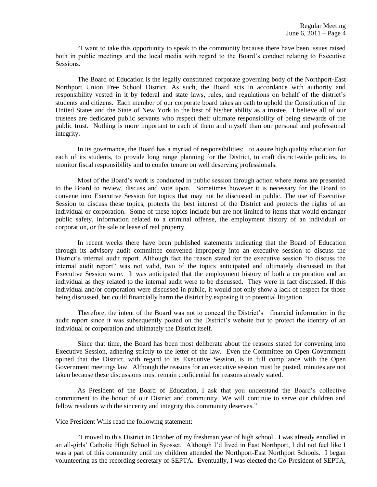"I want to take this opportunity to speak to the community because there have been issues raised both in public meetings and the local media with regard to the Board's conduct relating to Executive Sessions.

The Board of Education is the legally constituted corporate governing body of the Northport-East Northport Union Free School District. As such, the Board acts in accordance with authority and responsibility vested in it by federal and state laws, rules, and regulations on behalf of the district's students and citizens. Each member of our corporate board takes an oath to uphold the Constitution of the United States and the State of New York to the best of his/her ability as a trustee. I believe all of our trustees are dedicated public servants who respect their ultimate responsibility of being stewards of the public trust. Nothing is more important to each of them and myself than our personal and professional integrity.

In its governance, the Board has a myriad of responsibilities: to assure high quality education for each of its students, to provide long range planning for the District, to craft district-wide policies, to monitor fiscal responsibility and to confer tenure on well deserving professionals.

Most of the Board's work is conducted in public session through action where items are presented to the Board to review, discuss and vote upon. Sometimes however it is necessary for the Board to convene into Executive Session for topics that may not be discussed in public. The use of Executive Session to discuss these topics, protects the best interest of the District and protects the rights of an individual or corporation. Some of these topics include but are not limited to items that would endanger public safety, information related to a criminal offense, the employment history of an individual or corporation, or the sale or lease of real property.

In recent weeks there have been published statements indicating that the Board of Education through its advisory audit committee convened improperly into an executive session to discuss the District's internal audit report. Although fact the reason stated for the executive session "to discuss the internal audit report" was not valid, two of the topics anticipated and ultimately discussed in that Executive Session were. It was anticipated that the employment history of both a corporation and an individual as they related to the internal audit were to be discussed. They were in fact discussed. If this individual and/or corporation were discussed in public, it would not only show a lack of respect for those being discussed, but could financially harm the district by exposing it to potential litigation.

Therefore, the intent of the Board was not to conceal the District's financial information in the audit report since it was subsequently posted on the District's website but to protect the identity of an individual or corporation and ultimately the District itself.

Since that time, the Board has been most deliberate about the reasons stated for convening into Executive Session, adhering strictly to the letter of the law. Even the Committee on Open Government opined that the District, with regard to its Executive Session, is in full compliance with the Open Government meetings law. Although the reasons for an executive session must be posted, minutes are not taken because these discussions must remain confidential for reasons already stated.

As President of the Board of Education, I ask that you understand the Board's collective commitment to the honor of our District and community. We will continue to serve our children and fellow residents with the sincerity and integrity this community deserves."

Vice President Wills read the following statement:

"I moved to this District in October of my freshman year of high school. I was already enrolled in an all-girls' Catholic High School in Syosset. Although I'd lived in East Northport, I did not feel like I was a part of this community until my children attended the Northport-East Northport Schools. I began volunteering as the recording secretary of SEPTA. Eventually, I was elected the Co-President of SEPTA,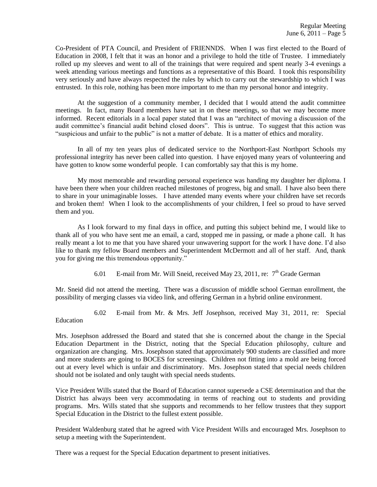Co-President of PTA Council, and President of FRIENNDS. When I was first elected to the Board of Education in 2008, I felt that it was an honor and a privilege to hold the title of Trustee. I immediately rolled up my sleeves and went to all of the trainings that were required and spent nearly 3-4 evenings a week attending various meetings and functions as a representative of this Board. I took this responsibility very seriously and have always respected the rules by which to carry out the stewardship to which I was entrusted. In this role, nothing has been more important to me than my personal honor and integrity.

At the suggestion of a community member, I decided that I would attend the audit committee meetings. In fact, many Board members have sat in on these meetings, so that we may become more informed. Recent editorials in a local paper stated that I was an "architect of moving a discussion of the audit committee's financial audit behind closed doors". This is untrue. To suggest that this action was "suspicious and unfair to the public" is not a matter of debate. It is a matter of ethics and morality.

In all of my ten years plus of dedicated service to the Northport-East Northport Schools my professional integrity has never been called into question. I have enjoyed many years of volunteering and have gotten to know some wonderful people. I can comfortably say that this is my home.

My most memorable and rewarding personal experience was handing my daughter her diploma. I have been there when your children reached milestones of progress, big and small. I have also been there to share in your unimaginable losses. I have attended many events where your children have set records and broken them! When I look to the accomplishments of your children, I feel so proud to have served them and you.

As I look forward to my final days in office, and putting this subject behind me, I would like to thank all of you who have sent me an email, a card, stopped me in passing, or made a phone call. It has really meant a lot to me that you have shared your unwavering support for the work I have done. I'd also like to thank my fellow Board members and Superintendent McDermott and all of her staff. And, thank you for giving me this tremendous opportunity."

6.01 E-mail from Mr. Will Sneid, received May 23, 2011, re:  $7<sup>th</sup>$  Grade German

Mr. Sneid did not attend the meeting. There was a discussion of middle school German enrollment, the possibility of merging classes via video link, and offering German in a hybrid online environment.

6.02 E-mail from Mr. & Mrs. Jeff Josephson, received May 31, 2011, re: Special Education

Mrs. Josephson addressed the Board and stated that she is concerned about the change in the Special Education Department in the District, noting that the Special Education philosophy, culture and organization are changing. Mrs. Josephson stated that approximately 900 students are classified and more and more students are going to BOCES for screenings. Children not fitting into a mold are being forced out at every level which is unfair and discriminatory. Mrs. Josephson stated that special needs children should not be isolated and only taught with special needs students.

Vice President Wills stated that the Board of Education cannot supersede a CSE determination and that the District has always been very accommodating in terms of reaching out to students and providing programs. Mrs. Wills stated that she supports and recommends to her fellow trustees that they support Special Education in the District to the fullest extent possible.

President Waldenburg stated that he agreed with Vice President Wills and encouraged Mrs. Josephson to setup a meeting with the Superintendent.

There was a request for the Special Education department to present initiatives.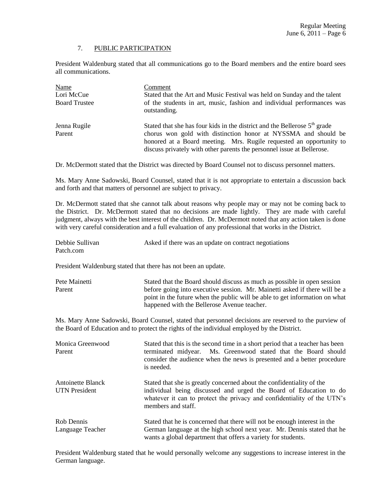## 7. PUBLIC PARTICIPATION

President Waldenburg stated that all communications go to the Board members and the entire board sees all communications.

| Name<br>Lori McCue<br><b>Board Trustee</b> | Comment<br>Stated that the Art and Music Festival was held on Sunday and the talent<br>of the students in art, music, fashion and individual performances was<br>outstanding.                                                                                                                            |
|--------------------------------------------|----------------------------------------------------------------------------------------------------------------------------------------------------------------------------------------------------------------------------------------------------------------------------------------------------------|
| Jenna Rugile<br>Parent                     | Stated that she has four kids in the district and the Bellerose 5 <sup>th</sup> grade<br>chorus won gold with distinction honor at NYSSMA and should be<br>honored at a Board meeting. Mrs. Rugile requested an opportunity to<br>discuss privately with other parents the personnel issue at Bellerose. |

Dr. McDermott stated that the District was directed by Board Counsel not to discuss personnel matters.

Ms. Mary Anne Sadowski, Board Counsel, stated that it is not appropriate to entertain a discussion back and forth and that matters of personnel are subject to privacy.

Dr. McDermott stated that she cannot talk about reasons why people may or may not be coming back to the District. Dr. McDermott stated that no decisions are made lightly. They are made with careful judgment, always with the best interest of the children. Dr. McDermott noted that any action taken is done with very careful consideration and a full evaluation of any professional that works in the District.

| Debbie Sullivan | Asked if there was an update on contract negotiations |
|-----------------|-------------------------------------------------------|
| Patch.com       |                                                       |

President Waldenburg stated that there has not been an update.

| Pete Mainetti | Stated that the Board should discuss as much as possible in open session    |
|---------------|-----------------------------------------------------------------------------|
| Parent        | before going into executive session. Mr. Mainetti asked if there will be a  |
|               | point in the future when the public will be able to get information on what |
|               | happened with the Bellerose Avenue teacher.                                 |

Ms. Mary Anne Sadowski, Board Counsel, stated that personnel decisions are reserved to the purview of the Board of Education and to protect the rights of the individual employed by the District.

| Monica Greenwood<br>Parent                       | Stated that this is the second time in a short period that a teacher has been<br>terminated midyear. Ms. Greenwood stated that the Board should<br>consider the audience when the news is presented and a better procedure<br>is needed.    |
|--------------------------------------------------|---------------------------------------------------------------------------------------------------------------------------------------------------------------------------------------------------------------------------------------------|
| <b>Antoinette Blanck</b><br><b>UTN</b> President | Stated that she is greatly concerned about the confidentiality of the<br>individual being discussed and urged the Board of Education to do<br>whatever it can to protect the privacy and confidentiality of the UTN's<br>members and staff. |
| Rob Dennis<br>Language Teacher                   | Stated that he is concerned that there will not be enough interest in the<br>German language at the high school next year. Mr. Dennis stated that he<br>wants a global department that offers a variety for students.                       |

President Waldenburg stated that he would personally welcome any suggestions to increase interest in the German language.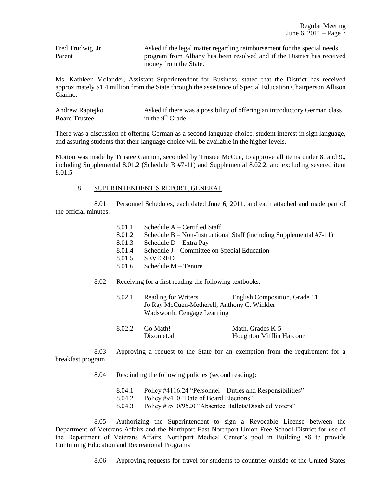Fred Trudwig, Jr. Asked if the legal matter regarding reimbursement for the special needs Parent program from Albany has been resolved and if the District has received money from the State.

Ms. Kathleen Molander, Assistant Superintendent for Business, stated that the District has received approximately \$1.4 million from the State through the assistance of Special Education Chairperson Allison Giaimo.

| Andrew Rapiejko      | Asked if there was a possibility of offering an introductory German class |
|----------------------|---------------------------------------------------------------------------|
| <b>Board Trustee</b> | in the $9th$ Grade.                                                       |

There was a discussion of offering German as a second language choice, student interest in sign language, and assuring students that their language choice will be available in the higher levels.

Motion was made by Trustee Gannon, seconded by Trustee McCue, to approve all items under 8. and 9., including Supplemental 8.01.2 (Schedule B #7-11) and Supplemental 8.02.2, and excluding severed item 8.01.5

## 8. SUPERINTENDENT'S REPORT, GENERAL

8.01 Personnel Schedules, each dated June 6, 2011, and each attached and made part of the official minutes:

- 8.01.1 Schedule A Certified Staff
- 8.01.2 Schedule B Non-Instructional Staff (including Supplemental #7-11)
- 8.01.3 Schedule D Extra Pay
- 8.01.4 Schedule J Committee on Special Education
- 8.01.5 SEVERED
- 8.01.6 Schedule M Tenure
- 8.02 Receiving for a first reading the following textbooks:
	- 8.02.1 Reading for Writers English Composition, Grade 11 Jo Ray McCuen-Metherell, Anthony C. Winkler Wadsworth, Cengage Learning
	- 8.02.2 Go Math! Math, Grades K-5 Dixon et.al. **Houghton Mifflin Harcourt**

8.03 Approving a request to the State for an exemption from the requirement for a breakfast program

8.04 Rescinding the following policies (second reading):

8.04.1 Policy #4116.24 "Personnel – Duties and Responsibilities"

- 8.04.2 Policy #9410 "Date of Board Elections"
- 8.04.3 Policy #9510/9520 "Absentee Ballots/Disabled Voters"

8.05 Authorizing the Superintendent to sign a Revocable License between the Department of Veterans Affairs and the Northport-East Northport Union Free School District for use of the Department of Veterans Affairs, Northport Medical Center's pool in Building 88 to provide Continuing Education and Recreational Programs

8.06 Approving requests for travel for students to countries outside of the United States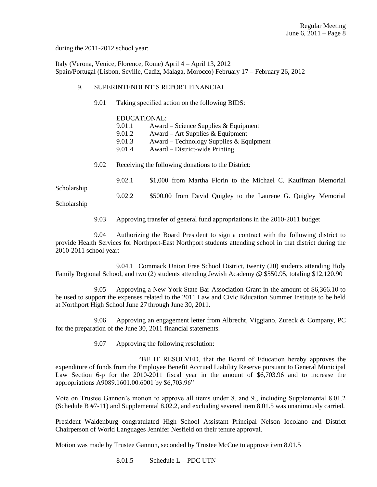during the 2011-2012 school year:

Italy (Verona, Venice, Florence, Rome) April 4 – April 13, 2012 Spain/Portugal (Lisbon, Seville, Cadiz, Malaga, Morocco) February 17 – February 26, 2012

#### 9. SUPERINTENDENT'S REPORT FINANCIAL

9.01 Taking specified action on the following BIDS:

#### EDUCATIONAL:

| 9.01.1 | Award – Science Supplies $&$ Equipment    |
|--------|-------------------------------------------|
| 9.01.2 | Award – Art Supplies $&$ Equipment        |
| 9.01.3 | Award – Technology Supplies $&$ Equipment |
| 9.01.4 | Award – District-wide Printing            |

9.02 Receiving the following donations to the District:

9.02.1 \$1,000 from Martha Florin to the Michael C. Kauffman Memorial Scholarship 9.02.2 \$500.00 from David Quigley to the Laurene G. Quigley Memorial Scholarship

9.03 Approving transfer of general fund appropriations in the 2010-2011 budget

9.04 Authorizing the Board President to sign a contract with the following district to provide Health Services for Northport-East Northport students attending school in that district during the 2010-2011 school year:

9.04.1 Commack Union Free School District, twenty (20) students attending Holy Family Regional School, and two (2) students attending Jewish Academy @ \$550.95, totaling \$12,120.90

9.05 Approving a New York State Bar Association Grant in the amount of \$6,366.10 to be used to support the expenses related to the 2011 Law and Civic Education Summer Institute to be held at Northport High School June 27 through June 30, 2011.

9.06 Approving an engagement letter from Albrecht, Viggiano, Zureck & Company, PC for the preparation of the June 30, 2011 financial statements.

9.07 Approving the following resolution:

"BE IT RESOLVED, that the Board of Education hereby approves the expenditure of funds from the Employee Benefit Accrued Liability Reserve pursuant to General Municipal Law Section 6-p for the 2010-2011 fiscal year in the amount of \$6,703.96 and to increase the appropriations A9089.1601.00.6001 by \$6,703.96"

Vote on Trustee Gannon's motion to approve all items under 8. and 9., including Supplemental 8.01.2 (Schedule B #7-11) and Supplemental 8.02.2, and excluding severed item 8.01.5 was unanimously carried.

President Waldenburg congratulated High School Assistant Principal Nelson Iocolano and District Chairperson of World Languages Jennifer Nesfield on their tenure approval.

Motion was made by Trustee Gannon, seconded by Trustee McCue to approve item 8.01.5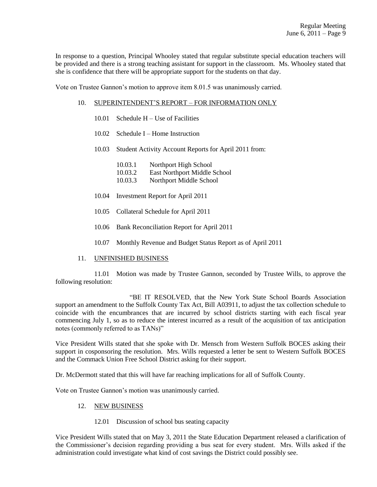In response to a question, Principal Whooley stated that regular substitute special education teachers will be provided and there is a strong teaching assistant for support in the classroom. Ms. Whooley stated that she is confidence that there will be appropriate support for the students on that day.

Vote on Trustee Gannon's motion to approve item 8.01.5 was unanimously carried.

#### 10. SUPERINTENDENT'S REPORT – FOR INFORMATION ONLY

- 10.01 Schedule H Use of Facilities
- 10.02 Schedule I Home Instruction
- 10.03 Student Activity Account Reports for April 2011 from:

| 10.03.1 | Northport High School |
|---------|-----------------------|
|         |                       |

- 10.03.2 East Northport Middle School
- 10.03.3 Northport Middle School
- 10.04 Investment Report for April 2011
- 10.05 Collateral Schedule for April 2011
- 10.06 Bank Reconciliation Report for April 2011
- 10.07 Monthly Revenue and Budget Status Report as of April 2011

#### 11. UNFINISHED BUSINESS

11.01 Motion was made by Trustee Gannon, seconded by Trustee Wills, to approve the following resolution:

"BE IT RESOLVED, that the New York State School Boards Association support an amendment to the Suffolk County Tax Act, Bill A03911, to adjust the tax collection schedule to coincide with the encumbrances that are incurred by school districts starting with each fiscal year commencing July 1, so as to reduce the interest incurred as a result of the acquisition of tax anticipation notes (commonly referred to as TANs)"

Vice President Wills stated that she spoke with Dr. Mensch from Western Suffolk BOCES asking their support in cosponsoring the resolution. Mrs. Wills requested a letter be sent to Western Suffolk BOCES and the Commack Union Free School District asking for their support.

Dr. McDermott stated that this will have far reaching implications for all of Suffolk County.

Vote on Trustee Gannon's motion was unanimously carried.

#### 12. NEW BUSINESS

12.01 Discussion of school bus seating capacity

Vice President Wills stated that on May 3, 2011 the State Education Department released a clarification of the Commissioner's decision regarding providing a bus seat for every student. Mrs. Wills asked if the administration could investigate what kind of cost savings the District could possibly see.